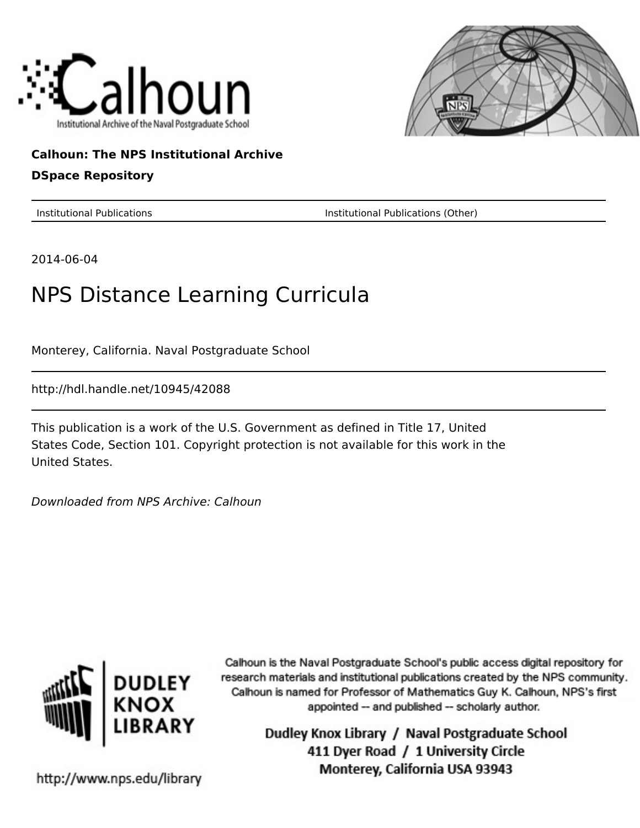



# **Calhoun: The NPS Institutional Archive DSpace Repository**

Institutional Publications Institutional Publications (Other)

2014-06-04

# NPS Distance Learning Curricula

Monterey, California. Naval Postgraduate School

http://hdl.handle.net/10945/42088

This publication is a work of the U.S. Government as defined in Title 17, United States Code, Section 101. Copyright protection is not available for this work in the United States.

Downloaded from NPS Archive: Calhoun



Calhoun is the Naval Postgraduate School's public access digital repository for research materials and institutional publications created by the NPS community. Calhoun is named for Professor of Mathematics Guy K. Calhoun, NPS's first appointed -- and published -- scholarly author.

> Dudley Knox Library / Naval Postgraduate School 411 Dyer Road / 1 University Circle Monterey, California USA 93943

http://www.nps.edu/library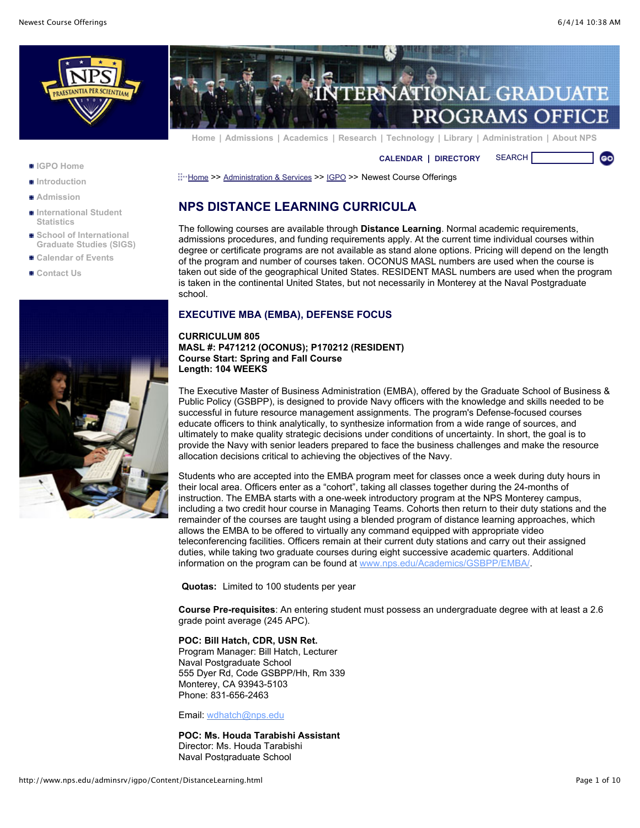**GO** 



- **[IGPO Home](http://www.nps.edu/adminsrv/igpo/index.html)**
- **[Introduction](http://www.nps.edu/adminsrv/igpo/Navigation/Introduction.html)**
- **[Admission](http://www.nps.edu/adminsrv/igpo/Navigation/Admission.html)**
- **[International Student](http://www.nps.edu/IntlStudents/QLinks/IntlDgrStat.html) Statistics**
- School of International **[Graduate Studies \(SIGS\)](http://www.nps.edu/Academics/SIGS/index.html)**
- **[Calendar of Events](http://www.nps.edu/adminsrv/igpo/Navigation/Calendar.html)**
- **[Contact Us](http://www.nps.edu/adminsrv/igpo/Navigation/ContactUs.html)**





**[Home](http://www.nps.edu/index.html) | [Admissions](http://www.nps.edu/Academics/Admissions/index.html) | [Academics](http://www.nps.edu/Academics/index.html) | [Research](http://www.nps.edu/Research/index.html) | [Technology](http://www.nps.edu/Technology/index.html) | [Library](http://www.nps.edu/Library/index.html) | [Administration](http://www.nps.edu/Administration/) | [About NPS](http://www.nps.edu/About/index.html)**

**[CALENDAR](http://www.nps.edu/About/Events/AcadCalendar.html) | [DIRECTORY](http://www.nps.edu/About/NPSInfo/directory.html)** SEARCH

[Home](http://www.nps.edu/Home.aspx) >> [Administration & Services](http://www.nps.edu/adminsrv/index.html) >> [IGPO](http://www.nps.edu/adminsrv/igpo/index.html) >> Newest Course Offerings

# **NPS DISTANCE LEARNING CURRICULA**

The following courses are available through **Distance Learning**. Normal academic requirements, admissions procedures, and funding requirements apply. At the current time individual courses within degree or certificate programs are not available as stand alone options. Pricing will depend on the length of the program and number of courses taken. OCONUS MASL numbers are used when the course is taken out side of the geographical United States. RESIDENT MASL numbers are used when the program is taken in the continental United States, but not necessarily in Monterey at the Naval Postgraduate school.

# **EXECUTIVE MBA (EMBA), DEFENSE FOCUS**

# **CURRICULUM 805 MASL #: P471212 (OCONUS); P170212 (RESIDENT) Course Start: Spring and Fall Course Length: 104 WEEKS**

The Executive Master of Business Administration (EMBA), offered by the Graduate School of Business & Public Policy (GSBPP), is designed to provide Navy officers with the knowledge and skills needed to be successful in future resource management assignments. The program's Defense-focused courses educate officers to think analytically, to synthesize information from a wide range of sources, and ultimately to make quality strategic decisions under conditions of uncertainty. In short, the goal is to provide the Navy with senior leaders prepared to face the business challenges and make the resource allocation decisions critical to achieving the objectives of the Navy.

Students who are accepted into the EMBA program meet for classes once a week during duty hours in their local area. Officers enter as a "cohort", taking all classes together during the 24-months of instruction. The EMBA starts with a one-week introductory program at the NPS Monterey campus, including a two credit hour course in Managing Teams. Cohorts then return to their duty stations and the remainder of the courses are taught using a blended program of distance learning approaches, which allows the EMBA to be offered to virtually any command equipped with appropriate video teleconferencing facilities. Officers remain at their current duty stations and carry out their assigned duties, while taking two graduate courses during eight successive academic quarters. Additional information on the program can be found at [www.nps.edu/Academics/GSBPP/EMBA/](http://www.nps.edu/academics/gsbpp/emba/).

**Quotas:** Limited to 100 students per year

**Course Pre-requisites**: An entering student must possess an undergraduate degree with at least a 2.6 grade point average (245 APC).

#### **POC: Bill Hatch, CDR, USN Ret.**

Program Manager: Bill Hatch, Lecturer Naval Postgraduate School 555 Dyer Rd, Code GSBPP/Hh, Rm 339 Monterey, CA 93943-5103 Phone: 831-656-2463

Email: [wdhatch@nps.edu](mailto:wdhatch@nps.edu)

#### **POC: Ms. Houda Tarabishi Assistant** Director: Ms. Houda Tarabishi Naval Postgraduate School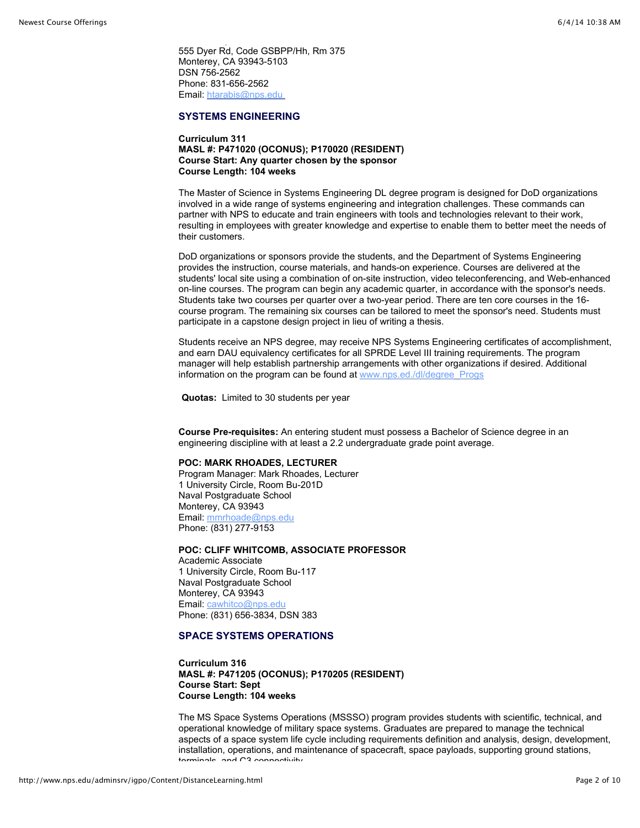555 Dyer Rd, Code GSBPP/Hh, Rm 375 Monterey, CA 93943-5103 DSN 756-2562 Phone: 831-656-2562 Email: [htarabis@nps.edu](mailto:htarabis@nps.edu) 

# **SYSTEMS ENGINEERING**

Naval Postgraduate School

# **Curriculum 311 MASL #: P471020 (OCONUS); P170020 (RESIDENT) Course Start: Any quarter chosen by the sponsor Course Length: 104 weeks**

The Master of Science in Systems Engineering DL degree program is designed for DoD organizations involved in a wide range of systems engineering and integration challenges. These commands can partner with NPS to educate and train engineers with tools and technologies relevant to their work, resulting in employees with greater knowledge and expertise to enable them to better meet the needs of their customers.

DoD organizations or sponsors provide the students, and the Department of Systems Engineering provides the instruction, course materials, and hands-on experience. Courses are delivered at the students' local site using a combination of on-site instruction, video teleconferencing, and Web-enhanced on-line courses. The program can begin any academic quarter, in accordance with the sponsor's needs. Students take two courses per quarter over a two-year period. There are ten core courses in the 16 course program. The remaining six courses can be tailored to meet the sponsor's need. Students must participate in a capstone design project in lieu of writing a thesis.

Students receive an NPS degree, may receive NPS Systems Engineering certificates of accomplishment, and earn DAU equivalency certificates for all SPRDE Level III training requirements. The program manager will help establish partnership arrangements with other organizations if desired. Additional information on the program can be found at [www.nps.ed./dl/degree\\_Progs](http://www.nps.edu/DL/Degree_Progs/SEnonResDeg.asp)

**Quotas:** Limited to 30 students per year

**Course Pre-requisites:** An entering student must possess a Bachelor of Science degree in an engineering discipline with at least a 2.2 undergraduate grade point average.

#### **POC: MARK RHOADES, LECTURER**

Program Manager: Mark Rhoades, Lecturer 1 University Circle, Room Bu-201D Naval Postgraduate School Monterey, CA 93943 Email: [mmrhoade@nps.edu](mailto:mmrhoade@nps.edu) Phone: (831) 277-9153

# **POC: CLIFF WHITCOMB, ASSOCIATE PROFESSOR**

Academic Associate 1 University Circle, Room Bu-117 Naval Postgraduate School Monterey, CA 93943 Email: [cawhitco@nps.edu](maiilto:cawhitco@nps.edu) Phone: (831) 656-3834, DSN 383

# **SPACE SYSTEMS OPERATIONS**

**Curriculum 316 MASL #: P471205 (OCONUS); P170205 (RESIDENT) Course Start: Sept Course Length: 104 weeks** 

The MS Space Systems Operations (MSSSO) program provides students with scientific, technical, and operational knowledge of military space systems. Graduates are prepared to manage the technical aspects of a space system life cycle including requirements definition and analysis, design, development, installation, operations, and maintenance of spacecraft, space payloads, supporting ground stations, terminals, and C3 connectivity.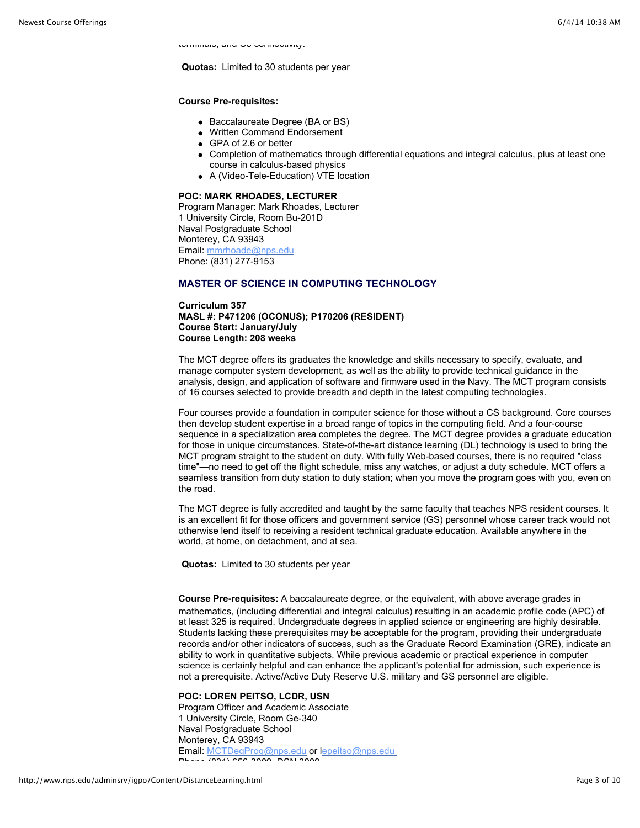terminals, and C3 connectivity.

**Quotas:** Limited to 30 students per year

#### **Course Pre-requisites:**

- Baccalaureate Degree (BA or BS)
- Written Command Endorsement
- GPA of 2.6 or better
- Completion of mathematics through differential equations and integral calculus, plus at least one course in calculus-based physics
- A (Video-Tele-Education) VTE location

#### **POC: MARK RHOADES, LECTURER**

Program Manager: Mark Rhoades, Lecturer 1 University Circle, Room Bu-201D Naval Postgraduate School Monterey, CA 93943 Email: [mmrhoade@nps.edu](mailto:mmrhoade@nps.edu) Phone: (831) 277-9153

# **MASTER OF SCIENCE IN COMPUTING TECHNOLOGY**

**Curriculum 357 MASL #: P471206 (OCONUS); P170206 (RESIDENT) Course Start: January/July Course Length: 208 weeks** 

The MCT degree offers its graduates the knowledge and skills necessary to specify, evaluate, and manage computer system development, as well as the ability to provide technical guidance in the analysis, design, and application of software and firmware used in the Navy. The MCT program consists of 16 courses selected to provide breadth and depth in the latest computing technologies.

Four courses provide a foundation in computer science for those without a CS background. Core courses then develop student expertise in a broad range of topics in the computing field. And a four-course sequence in a specialization area completes the degree. The MCT degree provides a graduate education for those in unique circumstances. State-of-the-art distance learning (DL) technology is used to bring the MCT program straight to the student on duty. With fully Web-based courses, there is no required "class time"—no need to get off the flight schedule, miss any watches, or adjust a duty schedule. MCT offers a seamless transition from duty station to duty station; when you move the program goes with you, even on the road.

The MCT degree is fully accredited and taught by the same faculty that teaches NPS resident courses. It is an excellent fit for those officers and government service (GS) personnel whose career track would not otherwise lend itself to receiving a resident technical graduate education. Available anywhere in the world, at home, on detachment, and at sea.

**Quotas:** Limited to 30 students per year

**Course Pre-requisites:** A baccalaureate degree, or the equivalent, with above average grades in mathematics, (including differential and integral calculus) resulting in an academic profile code (APC) of at least 325 is required. Undergraduate degrees in applied science or engineering are highly desirable. Students lacking these prerequisites may be acceptable for the program, providing their undergraduate records and/or other indicators of success, such as the Graduate Record Examination (GRE), indicate an ability to work in quantitative subjects. While previous academic or practical experience in computer science is certainly helpful and can enhance the applicant's potential for admission, such experience is not a prerequisite. Active/Active Duty Reserve U.S. military and GS personnel are eligible.

# **POC: LOREN PEITSO, LCDR, USN**

Program Officer and Academic Associate 1 University Circle, Room Ge-340 Naval Postgraduate School Monterey, CA 93943 Email: [MCTDegProg@nps.edu](mailto:MCTDegProg@nps.edu) or [lepeitso@nps.edu](mailto:epeitso@nps.edu)  Phone (831) 656-3000, DOM 3000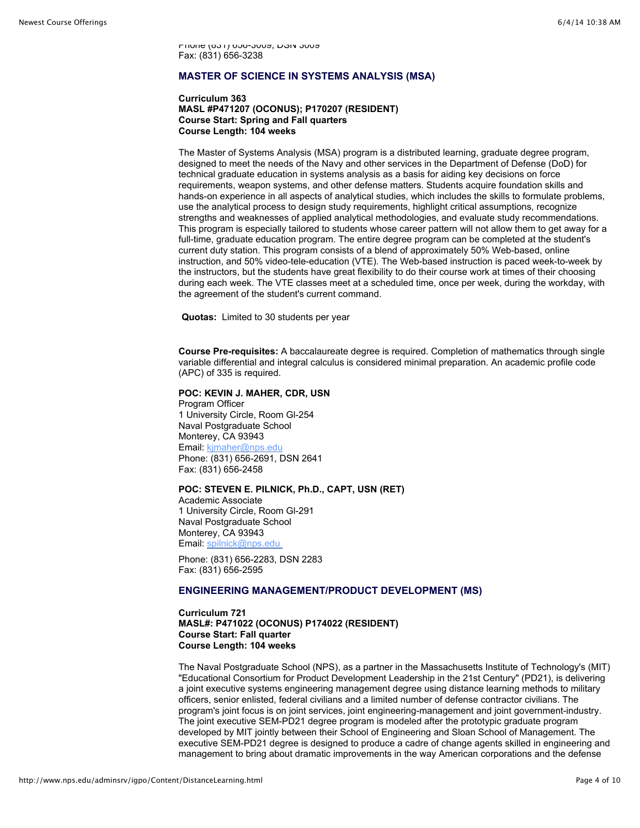Phone (831) 656-3009, DSN 3009 Fax: (831) 656-3238

# **MASTER OF SCIENCE IN SYSTEMS ANALYSIS (MSA)**

#### **Curriculum 363 MASL #P471207 (OCONUS); P170207 (RESIDENT) Course Start: Spring and Fall quarters Course Length: 104 weeks**

The Master of Systems Analysis (MSA) program is a distributed learning, graduate degree program, designed to meet the needs of the Navy and other services in the Department of Defense (DoD) for technical graduate education in systems analysis as a basis for aiding key decisions on force requirements, weapon systems, and other defense matters. Students acquire foundation skills and hands-on experience in all aspects of analytical studies, which includes the skills to formulate problems, use the analytical process to design study requirements, highlight critical assumptions, recognize strengths and weaknesses of applied analytical methodologies, and evaluate study recommendations. This program is especially tailored to students whose career pattern will not allow them to get away for a full-time, graduate education program. The entire degree program can be completed at the student's current duty station. This program consists of a blend of approximately 50% Web-based, online instruction, and 50% video-tele-education (VTE). The Web-based instruction is paced week-to-week by the instructors, but the students have great flexibility to do their course work at times of their choosing during each week. The VTE classes meet at a scheduled time, once per week, during the workday, with the agreement of the student's current command.

**Quotas:** Limited to 30 students per year

**Course Pre-requisites:** A baccalaureate degree is required. Completion of mathematics through single variable differential and integral calculus is considered minimal preparation. An academic profile code (APC) of 335 is required.

#### **POC: KEVIN J. MAHER, CDR, USN**

Program Officer 1 University Circle, Room Gl-254 Naval Postgraduate School Monterey, CA 93943 Email: [kjmaher@nps.edu](mailto:kjmaher@nps.edu) Phone: (831) 656-2691, DSN 2641 Fax: (831) 656-2458

# **POC: STEVEN E. PILNICK, Ph.D., CAPT, USN (RET)**

Academic Associate 1 University Circle, Room Gl-291 Naval Postgraduate School Monterey, CA 93943 Email: [spilnick@nps.edu](mailto:spilnick@nps.edu) 

Phone: (831) 656-2283, DSN 2283 Fax: (831) 656-2595

# **ENGINEERING MANAGEMENT/PRODUCT DEVELOPMENT (MS)**

**Curriculum 721 MASL#: P471022 (OCONUS) P174022 (RESIDENT) Course Start: Fall quarter Course Length: 104 weeks** 

The Naval Postgraduate School (NPS), as a partner in the Massachusetts Institute of Technology's (MIT) "Educational Consortium for Product Development Leadership in the 21st Century" (PD21), is delivering a joint executive systems engineering management degree using distance learning methods to military officers, senior enlisted, federal civilians and a limited number of defense contractor civilians. The program's joint focus is on joint services, joint engineering-management and joint government-industry. The joint executive SEM-PD21 degree program is modeled after the prototypic graduate program developed by MIT jointly between their School of Engineering and Sloan School of Management. The executive SEM-PD21 degree is designed to produce a cadre of change agents skilled in engineering and management to bring about dramatic improvements in the way American corporations and the defense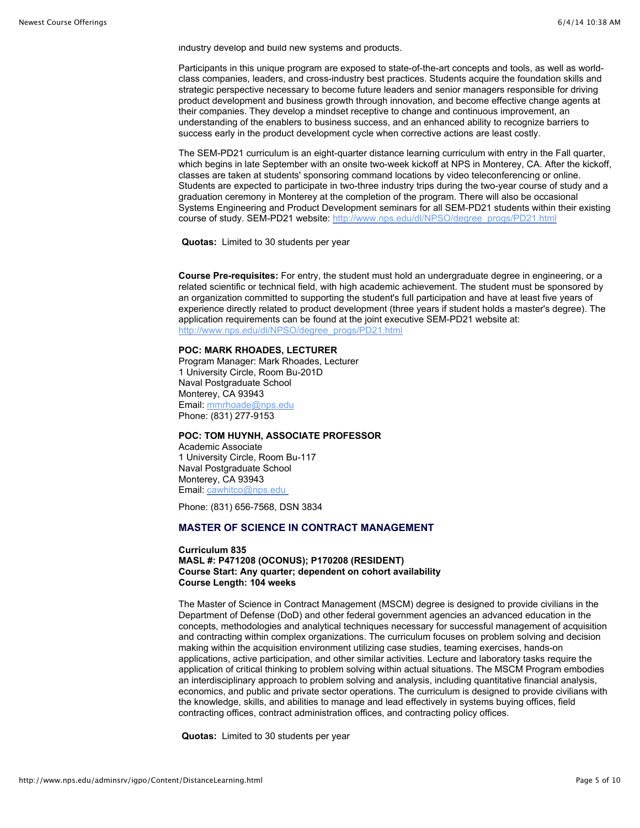industry develop and build new systems and products.

Participants in this unique program are exposed to state-of-the-art concepts and tools, as well as worldclass companies, leaders, and cross-industry best practices. Students acquire the foundation skills and strategic perspective necessary to become future leaders and senior managers responsible for driving product development and business growth through innovation, and become effective change agents at their companies. They develop a mindset receptive to change and continuous improvement, an understanding of the enablers to business success, and an enhanced ability to recognize barriers to success early in the product development cycle when corrective actions are least costly.

The SEM-PD21 curriculum is an eight-quarter distance learning curriculum with entry in the Fall quarter, which begins in late September with an onsite two-week kickoff at NPS in Monterey, CA. After the kickoff, classes are taken at students' sponsoring command locations by video teleconferencing or online. Students are expected to participate in two-three industry trips during the two-year course of study and a graduation ceremony in Monterey at the completion of the program. There will also be occasional Systems Engineering and Product Development seminars for all SEM-PD21 students within their existing course of study. SEM-PD21 website: [http://www.nps.edu/dl/NPSO/degree\\_progs/PD21.html](http://www.nps.edu/dl/NPSO/degree_progs/PD21.html)

**Quotas:** Limited to 30 students per year

**Course Pre-requisites:** For entry, the student must hold an undergraduate degree in engineering, or a related scientific or technical field, with high academic achievement. The student must be sponsored by an organization committed to supporting the student's full participation and have at least five years of experience directly related to product development (three years if student holds a master's degree). The application requirements can be found at the joint executive SEM-PD21 website at: [http://www.nps.edu/dl/NPSO/degree\\_progs/PD21.html](http://www.nps.edu/dl/NPSO/degree_progs/PD21.html)

#### **POC: MARK RHOADES, LECTURER**

Program Manager: Mark Rhoades, Lecturer 1 University Circle, Room Bu-201D Naval Postgraduate School Monterey, CA 93943 Email: [mmrhoade@nps.edu](mailto:mmrhoade@nps.edu) Phone: (831) 277-9153

#### **POC: TOM HUYNH, ASSOCIATE PROFESSOR**

Academic Associate 1 University Circle, Room Bu-117 Naval Postgraduate School Monterey, CA 93943 Email: [cawhitco@nps.edu](mailto:cawhitco@nps.edu) 

Phone: (831) 656-7568, DSN 3834

# **MASTER OF SCIENCE IN CONTRACT MANAGEMENT**

#### **Curriculum 835 MASL #: P471208 (OCONUS); P170208 (RESIDENT) Course Start: Any quarter; dependent on cohort availability Course Length: 104 weeks**

The Master of Science in Contract Management (MSCM) degree is designed to provide civilians in the Department of Defense (DoD) and other federal government agencies an advanced education in the concepts, methodologies and analytical techniques necessary for successful management of acquisition and contracting within complex organizations. The curriculum focuses on problem solving and decision making within the acquisition environment utilizing case studies, teaming exercises, hands-on applications, active participation, and other similar activities. Lecture and laboratory tasks require the application of critical thinking to problem solving within actual situations. The MSCM Program embodies an interdisciplinary approach to problem solving and analysis, including quantitative financial analysis, economics, and public and private sector operations. The curriculum is designed to provide civilians with the knowledge, skills, and abilities to manage and lead effectively in systems buying offices, field contracting offices, contract administration offices, and contracting policy offices.

**Quotas:** Limited to 30 students per year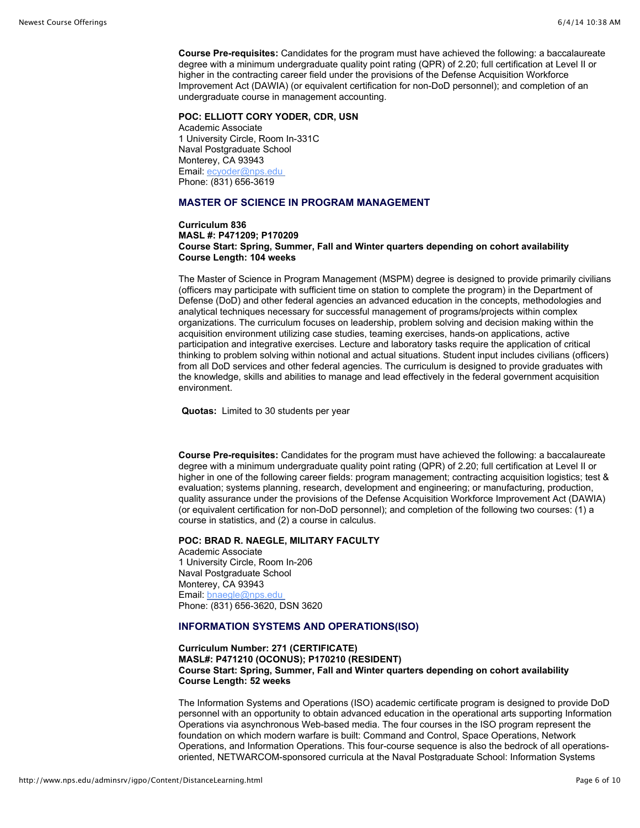**Course Pre-requisites:** Candidates for the program must have achieved the following: a baccalaureate degree with a minimum undergraduate quality point rating (QPR) of 2.20; full certification at Level II or higher in the contracting career field under the provisions of the Defense Acquisition Workforce Improvement Act (DAWIA) (or equivalent certification for non-DoD personnel); and completion of an undergraduate course in management accounting.

**POC: ELLIOTT CORY YODER, CDR, USN** Academic Associate 1 University Circle, Room In-331C Naval Postgraduate School Monterey, CA 93943 Email: ecyoder@nps.edu Phone: (831) 656-3619

# **MASTER OF SCIENCE IN PROGRAM MANAGEMENT**

#### **Curriculum 836 MASL #: P471209; P170209 Course Start: Spring, Summer, Fall and Winter quarters depending on cohort availability Course Length: 104 weeks**

The Master of Science in Program Management (MSPM) degree is designed to provide primarily civilians (officers may participate with sufficient time on station to complete the program) in the Department of Defense (DoD) and other federal agencies an advanced education in the concepts, methodologies and analytical techniques necessary for successful management of programs/projects within complex organizations. The curriculum focuses on leadership, problem solving and decision making within the acquisition environment utilizing case studies, teaming exercises, hands-on applications, active participation and integrative exercises. Lecture and laboratory tasks require the application of critical thinking to problem solving within notional and actual situations. Student input includes civilians (officers) from all DoD services and other federal agencies. The curriculum is designed to provide graduates with the knowledge, skills and abilities to manage and lead effectively in the federal government acquisition environment.

**Quotas:** Limited to 30 students per year

**Course Pre-requisites:** Candidates for the program must have achieved the following: a baccalaureate degree with a minimum undergraduate quality point rating (QPR) of 2.20; full certification at Level II or higher in one of the following career fields: program management; contracting acquisition logistics; test & evaluation; systems planning, research, development and engineering; or manufacturing, production, quality assurance under the provisions of the Defense Acquisition Workforce Improvement Act (DAWIA) (or equivalent certification for non-DoD personnel); and completion of the following two courses: (1) a course in statistics, and (2) a course in calculus.

# **POC: BRAD R. NAEGLE, MILITARY FACULTY**

Academic Associate 1 University Circle, Room In-206 Naval Postgraduate School Monterey, CA 93943 Email: [bnaegle@nps.edu](mailto:bnaegle@nps.edu)  Phone: (831) 656-3620, DSN 3620

# **INFORMATION SYSTEMS AND OPERATIONS(ISO)**

# **Curriculum Number: 271 (CERTIFICATE) MASL#: P471210 (OCONUS); P170210 (RESIDENT) Course Start: Spring, Summer, Fall and Winter quarters depending on cohort availability Course Length: 52 weeks**

The Information Systems and Operations (ISO) academic certificate program is designed to provide DoD personnel with an opportunity to obtain advanced education in the operational arts supporting Information Operations via asynchronous Web-based media. The four courses in the ISO program represent the foundation on which modern warfare is built: Command and Control, Space Operations, Network Operations, and Information Operations. This four-course sequence is also the bedrock of all operationsoriented, NETWARCOM-sponsored curricula at the Naval Postgraduate School: Information Systems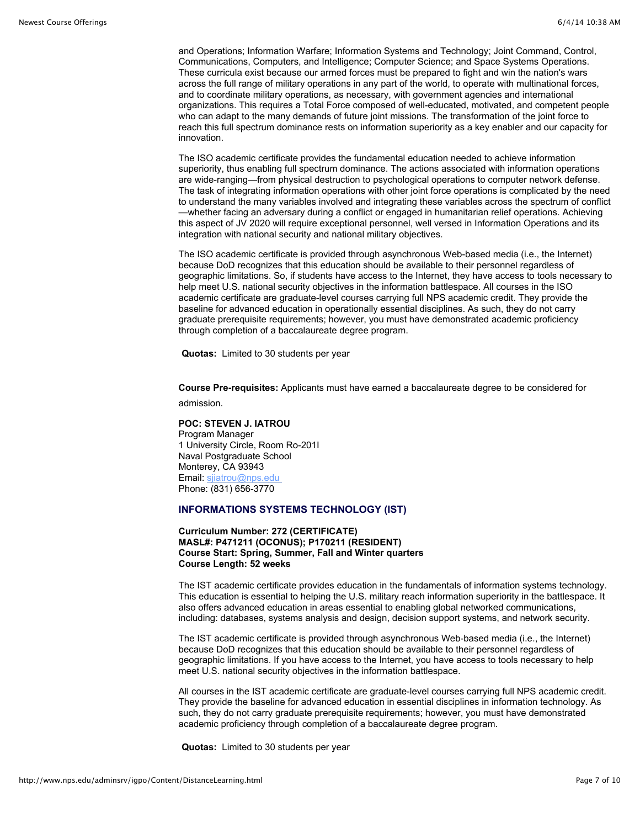and Operations; Information Warfare; Information Systems and Technology; Joint Command, Control, Communications, Computers, and Intelligence; Computer Science; and Space Systems Operations. These curricula exist because our armed forces must be prepared to fight and win the nation's wars across the full range of military operations in any part of the world, to operate with multinational forces, and to coordinate military operations, as necessary, with government agencies and international organizations. This requires a Total Force composed of well-educated, motivated, and competent people who can adapt to the many demands of future joint missions. The transformation of the joint force to reach this full spectrum dominance rests on information superiority as a key enabler and our capacity for innovation.

oriented, NETWARCOM-sponsored curricula at the Naval Postgraduate School: Information Systems

The ISO academic certificate provides the fundamental education needed to achieve information superiority, thus enabling full spectrum dominance. The actions associated with information operations are wide-ranging—from physical destruction to psychological operations to computer network defense. The task of integrating information operations with other joint force operations is complicated by the need to understand the many variables involved and integrating these variables across the spectrum of conflict —whether facing an adversary during a conflict or engaged in humanitarian relief operations. Achieving this aspect of JV 2020 will require exceptional personnel, well versed in Information Operations and its integration with national security and national military objectives.

The ISO academic certificate is provided through asynchronous Web-based media (i.e., the Internet) because DoD recognizes that this education should be available to their personnel regardless of geographic limitations. So, if students have access to the Internet, they have access to tools necessary to help meet U.S. national security objectives in the information battlespace. All courses in the ISO academic certificate are graduate-level courses carrying full NPS academic credit. They provide the baseline for advanced education in operationally essential disciplines. As such, they do not carry graduate prerequisite requirements; however, you must have demonstrated academic proficiency through completion of a baccalaureate degree program.

**Quotas:** Limited to 30 students per year

**Course Pre-requisites:** Applicants must have earned a baccalaureate degree to be considered for

admission.

**POC: STEVEN J. IATROU**  Program Manager 1 University Circle, Room Ro-201I Naval Postgraduate School Monterey, CA 93943 Email: [sjiatrou@nps.edu](mailto:sjiatrou@nps.edu)  Phone: (831) 656-3770

#### **INFORMATIONS SYSTEMS TECHNOLOGY (IST)**

**Curriculum Number: 272 (CERTIFICATE) MASL#: P471211 (OCONUS); P170211 (RESIDENT) Course Start: Spring, Summer, Fall and Winter quarters Course Length: 52 weeks** 

The IST academic certificate provides education in the fundamentals of information systems technology. This education is essential to helping the U.S. military reach information superiority in the battlespace. It also offers advanced education in areas essential to enabling global networked communications, including: databases, systems analysis and design, decision support systems, and network security.

The IST academic certificate is provided through asynchronous Web-based media (i.e., the Internet) because DoD recognizes that this education should be available to their personnel regardless of geographic limitations. If you have access to the Internet, you have access to tools necessary to help meet U.S. national security objectives in the information battlespace.

All courses in the IST academic certificate are graduate-level courses carrying full NPS academic credit. They provide the baseline for advanced education in essential disciplines in information technology. As such, they do not carry graduate prerequisite requirements; however, you must have demonstrated academic proficiency through completion of a baccalaureate degree program.

**Quotas:** Limited to 30 students per year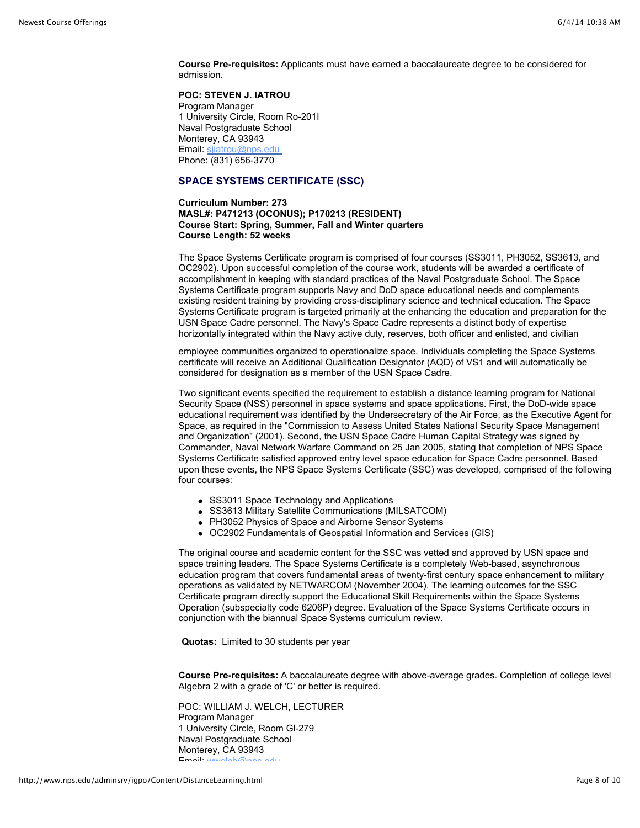**Course Pre-requisites:** Applicants must have earned a baccalaureate degree to be considered for admission.

#### **POC: STEVEN J. IATROU**

Program Manager 1 University Circle, Room Ro-201I Naval Postgraduate School Monterey, CA 93943 Email: sjiatrou@nps.edu Phone: (831) 656-3770

# **SPACE SYSTEMS CERTIFICATE (SSC)**

**Curriculum Number: 273 MASL#: P471213 (OCONUS); P170213 (RESIDENT) Course Start: Spring, Summer, Fall and Winter quarters Course Length: 52 weeks** 

The Space Systems Certificate program is comprised of four courses (SS3011, PH3052, SS3613, and OC2902). Upon successful completion of the course work, students will be awarded a certificate of accomplishment in keeping with standard practices of the Naval Postgraduate School. The Space Systems Certificate program supports Navy and DoD space educational needs and complements existing resident training by providing cross-disciplinary science and technical education. The Space Systems Certificate program is targeted primarily at the enhancing the education and preparation for the USN Space Cadre personnel. The Navy's Space Cadre represents a distinct body of expertise horizontally integrated within the Navy active duty, reserves, both officer and enlisted, and civilian

employee communities organized to operationalize space. Individuals completing the Space Systems certificate will receive an Additional Qualification Designator (AQD) of VS1 and will automatically be considered for designation as a member of the USN Space Cadre.

Two significant events specified the requirement to establish a distance learning program for National Security Space (NSS) personnel in space systems and space applications. First, the DoD-wide space educational requirement was identified by the Undersecretary of the Air Force, as the Executive Agent for Space, as required in the "Commission to Assess United States National Security Space Management and Organization" (2001). Second, the USN Space Cadre Human Capital Strategy was signed by Commander, Naval Network Warfare Command on 25 Jan 2005, stating that completion of NPS Space Systems Certificate satisfied approved entry level space education for Space Cadre personnel. Based upon these events, the NPS Space Systems Certificate (SSC) was developed, comprised of the following four courses:

- SS3011 Space Technology and Applications
- SS3613 Military Satellite Communications (MILSATCOM)
- PH3052 Physics of Space and Airborne Sensor Systems
- OC2902 Fundamentals of Geospatial Information and Services (GIS)

The original course and academic content for the SSC was vetted and approved by USN space and space training leaders. The Space Systems Certificate is a completely Web-based, asynchronous education program that covers fundamental areas of twenty-first century space enhancement to military operations as validated by NETWARCOM (November 2004). The learning outcomes for the SSC Certificate program directly support the Educational Skill Requirements within the Space Systems Operation (subspecialty code 6206P) degree. Evaluation of the Space Systems Certificate occurs in conjunction with the biannual Space Systems curriculum review.

**Quotas:** Limited to 30 students per year

**Course Pre-requisites:** A baccalaureate degree with above-average grades. Completion of college level Algebra 2 with a grade of 'C' or better is required.

POC: WILLIAM J. WELCH, LECTURER Program Manager 1 University Circle, Room Gl-279 Naval Postgraduate School Monterey, CA 93943  $Email: <sub>M</sub>$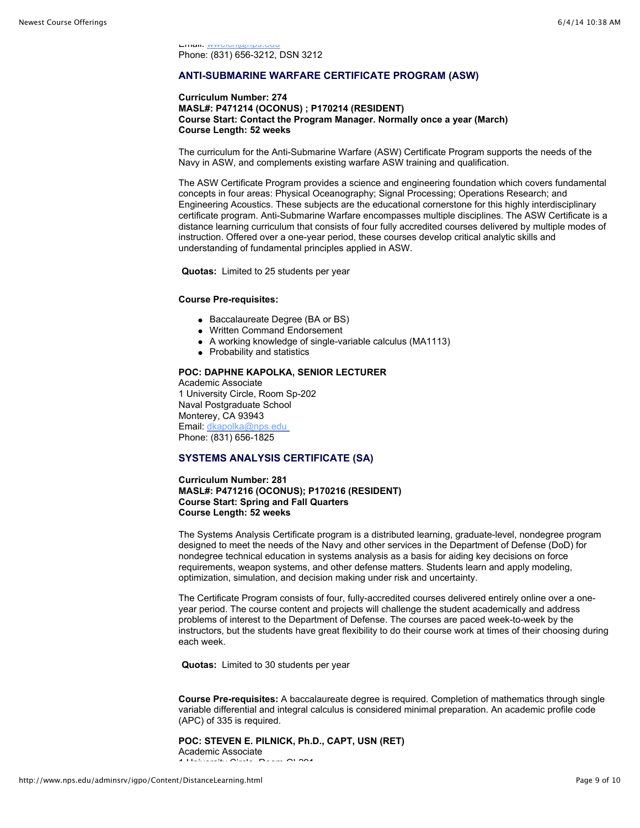Email: ww<del>elch@np</del> Phone: (831) 656-3212, DSN 3212

# **ANTI-SUBMARINE WARFARE CERTIFICATE PROGRAM (ASW)**

#### **Curriculum Number: 274 MASL#: P471214 (OCONUS) ; P170214 (RESIDENT) Course Start: Contact the Program Manager. Normally once a year (March) Course Length: 52 weeks**

The curriculum for the Anti-Submarine Warfare (ASW) Certificate Program supports the needs of the Navy in ASW, and complements existing warfare ASW training and qualification.

The ASW Certificate Program provides a science and engineering foundation which covers fundamental concepts in four areas: Physical Oceanography; Signal Processing; Operations Research; and Engineering Acoustics. These subjects are the educational cornerstone for this highly interdisciplinary certificate program. Anti-Submarine Warfare encompasses multiple disciplines. The ASW Certificate is a distance learning curriculum that consists of four fully accredited courses delivered by multiple modes of instruction. Offered over a one-year period, these courses develop critical analytic skills and understanding of fundamental principles applied in ASW.

**Quotas:** Limited to 25 students per year

#### **Course Pre-requisites:**

- Baccalaureate Degree (BA or BS)
- Written Command Endorsement
- A working knowledge of single-variable calculus (MA1113)
- Probability and statistics

#### **POC: DAPHNE KAPOLKA, SENIOR LECTURER**

Academic Associate 1 University Circle, Room Sp-202 Naval Postgraduate School Monterey, CA 93943 Email: [dkapolka@nps.edu](mailto:dkapolka@nps.edu)  Phone: (831) 656-1825

#### **SYSTEMS ANALYSIS CERTIFICATE (SA)**

**Curriculum Number: 281 MASL#: P471216 (OCONUS); P170216 (RESIDENT) Course Start: Spring and Fall Quarters Course Length: 52 weeks** 

The Systems Analysis Certificate program is a distributed learning, graduate-level, nondegree program designed to meet the needs of the Navy and other services in the Department of Defense (DoD) for nondegree technical education in systems analysis as a basis for aiding key decisions on force requirements, weapon systems, and other defense matters. Students learn and apply modeling, optimization, simulation, and decision making under risk and uncertainty.

The Certificate Program consists of four, fully-accredited courses delivered entirely online over a oneyear period. The course content and projects will challenge the student academically and address problems of interest to the Department of Defense. The courses are paced week-to-week by the instructors, but the students have great flexibility to do their course work at times of their choosing during each week.

**Quotas:** Limited to 30 students per year

**Course Pre-requisites:** A baccalaureate degree is required. Completion of mathematics through single variable differential and integral calculus is considered minimal preparation. An academic profile code (APC) of 335 is required.

**POC: STEVEN E. PILNICK, Ph.D., CAPT, USN (RET)**  Academic Associate  $1.1$  University Circle,  $R_1$